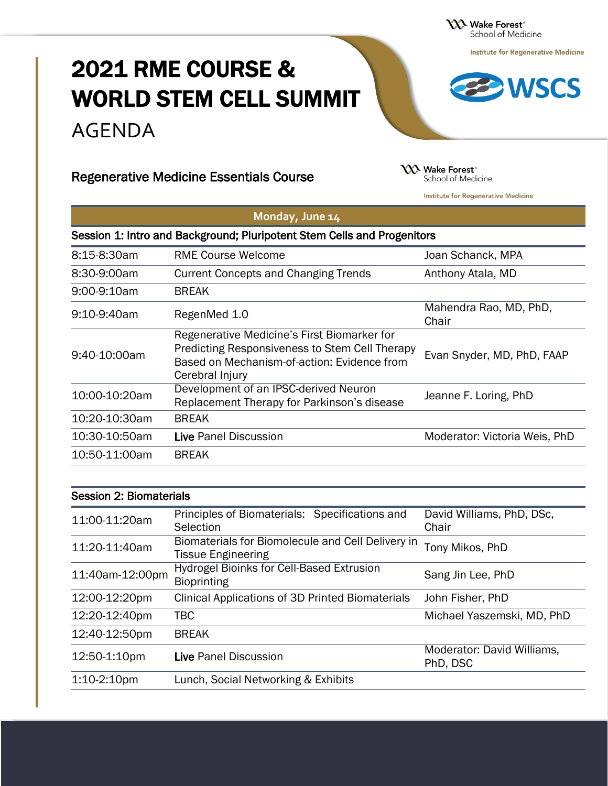**XXX** Wake Forest<sup>®</sup> School of Medicine

**Institute for Regenerative Medicine** 

# 2021 RME COURSE & WORLD STEM CELL SUMMIT AGENDA

## Regenerative Medicine Essentials Course

**YY2** Wake Forest<sup>®</sup> School of Medicine

**Institute for Regenerative Medicine** 

| Monday, June 14                                                         |                                                                                                                                                                        |                                 |
|-------------------------------------------------------------------------|------------------------------------------------------------------------------------------------------------------------------------------------------------------------|---------------------------------|
| Session 1: Intro and Background; Pluripotent Stem Cells and Progenitors |                                                                                                                                                                        |                                 |
| 8:15-8:30am                                                             | <b>RME Course Welcome</b>                                                                                                                                              | Joan Schanck, MPA               |
| 8:30-9:00am                                                             | <b>Current Concepts and Changing Trends</b>                                                                                                                            | Anthony Atala, MD               |
| 9:00-9:10am                                                             | <b>BREAK</b>                                                                                                                                                           |                                 |
| 9:10-9:40am                                                             | RegenMed 1.0                                                                                                                                                           | Mahendra Rao, MD, PhD,<br>Chair |
| 9:40-10:00am                                                            | Regenerative Medicine's First Biomarker for<br><b>Predicting Responsiveness to Stem Cell Therapy</b><br>Based on Mechanism-of-action: Evidence from<br>Cerebral Injury | Evan Snyder, MD, PhD, FAAP      |
| 10:00-10:20am                                                           | Development of an IPSC-derived Neuron<br>Replacement Therapy for Parkinson's disease                                                                                   | Jeanne F. Loring, PhD           |
| 10:20-10:30am                                                           | <b>BREAK</b>                                                                                                                                                           |                                 |
| 10:30-10:50am                                                           | Live Panel Discussion                                                                                                                                                  | Moderator: Victoria Weis, PhD   |
| 10:50-11:00am                                                           | <b>BREAK</b>                                                                                                                                                           |                                 |

| <b>Session 2: Biomaterials</b> |                                                                                |                                        |
|--------------------------------|--------------------------------------------------------------------------------|----------------------------------------|
| 11:00-11:20am                  | Principles of Biomaterials: Specifications and<br>Selection                    | David Williams, PhD, DSc,<br>Chair     |
| 11:20-11:40am                  | Biomaterials for Biomolecule and Cell Delivery in<br><b>Tissue Engineering</b> | Tony Mikos, PhD                        |
| 11:40am-12:00pm                | <b>Hydrogel Bioinks for Cell-Based Extrusion</b><br><b>Bioprinting</b>         | Sang Jin Lee, PhD                      |
| 12:00-12:20pm                  | Clinical Applications of 3D Printed Biomaterials                               | John Fisher, PhD                       |
| 12:20-12:40pm                  | <b>TBC</b>                                                                     | Michael Yaszemski, MD, PhD             |
| 12:40-12:50pm                  | <b>BREAK</b>                                                                   |                                        |
| 12:50-1:10pm                   | Live Panel Discussion                                                          | Moderator: David Williams,<br>PhD, DSC |
| $1:10-2:10$ pm                 | Lunch, Social Networking & Exhibits                                            |                                        |

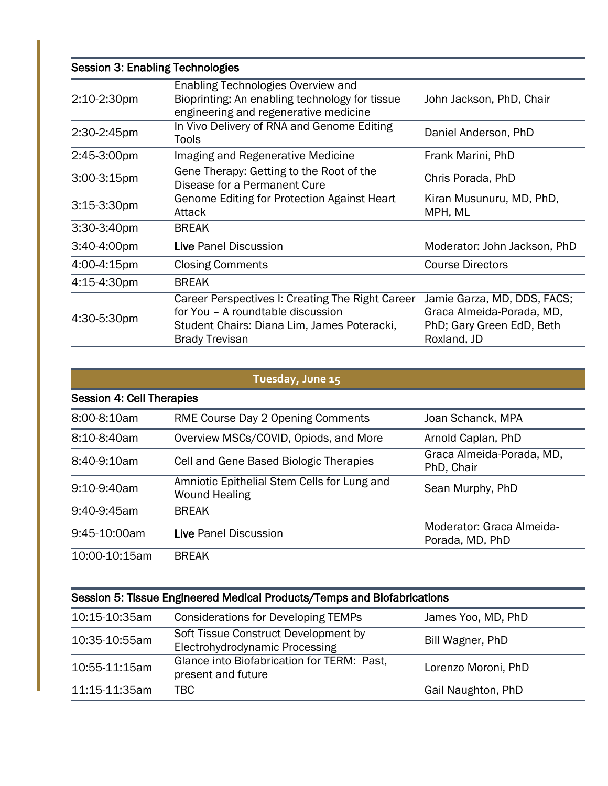| <b>Session 3: Enabling Technologies</b> |                                                                                                                                                               |                                                                                                      |
|-----------------------------------------|---------------------------------------------------------------------------------------------------------------------------------------------------------------|------------------------------------------------------------------------------------------------------|
| 2:10-2:30pm                             | Enabling Technologies Overview and<br>Bioprinting: An enabling technology for tissue<br>engineering and regenerative medicine                                 | John Jackson, PhD, Chair                                                                             |
| 2:30-2:45pm                             | In Vivo Delivery of RNA and Genome Editing<br>Tools                                                                                                           | Daniel Anderson, PhD                                                                                 |
| 2:45-3:00pm                             | Imaging and Regenerative Medicine                                                                                                                             | Frank Marini, PhD                                                                                    |
| $3:00-3:15$ pm                          | Gene Therapy: Getting to the Root of the<br>Disease for a Permanent Cure                                                                                      | Chris Porada, PhD                                                                                    |
| $3:15-3:30$ pm                          | <b>Genome Editing for Protection Against Heart</b><br>Attack                                                                                                  | Kiran Musunuru, MD, PhD,<br>MPH, ML                                                                  |
| 3:30-3:40pm                             | <b>BREAK</b>                                                                                                                                                  |                                                                                                      |
| 3:40-4:00pm                             | Live Panel Discussion                                                                                                                                         | Moderator: John Jackson, PhD                                                                         |
| 4:00-4:15pm                             | <b>Closing Comments</b>                                                                                                                                       | <b>Course Directors</b>                                                                              |
| 4:15-4:30pm                             | <b>BREAK</b>                                                                                                                                                  |                                                                                                      |
| 4:30-5:30pm                             | Career Perspectives I: Creating The Right Career<br>for You - A roundtable discussion<br>Student Chairs: Diana Lim, James Poteracki,<br><b>Brady Trevisan</b> | Jamie Garza, MD, DDS, FACS;<br>Graca Almeida-Porada, MD,<br>PhD; Gary Green EdD, Beth<br>Roxland, JD |

| Tuesday, June 15 |
|------------------|
|                  |

| Session 4: Cell Therapies |                                                                     |                                              |
|---------------------------|---------------------------------------------------------------------|----------------------------------------------|
| 8:00-8:10am               | RME Course Day 2 Opening Comments                                   | Joan Schanck, MPA                            |
| 8:10-8:40am               | Overview MSCs/COVID, Opiods, and More                               | Arnold Caplan, PhD                           |
| 8:40-9:10am               | Cell and Gene Based Biologic Therapies                              | Graca Almeida-Porada, MD,<br>PhD, Chair      |
| 9:10-9:40am               | Amniotic Epithelial Stem Cells for Lung and<br><b>Wound Healing</b> | Sean Murphy, PhD                             |
| 9:40-9:45am               | <b>BREAK</b>                                                        |                                              |
| $9:45-10:00am$            | Live Panel Discussion                                               | Moderator: Graca Almeida-<br>Porada, MD, PhD |
| 10:00-10:15am             | <b>BREAK</b>                                                        |                                              |

## Session 5: Tissue Engineered Medical Products/Temps and Biofabrications

| 10:15-10:35am | <b>Considerations for Developing TEMPs</b>                             | James Yoo, MD, PhD  |
|---------------|------------------------------------------------------------------------|---------------------|
| 10:35-10:55am | Soft Tissue Construct Development by<br>Electrohydrodynamic Processing | Bill Wagner, PhD    |
| 10:55-11:15am | Glance into Biofabrication for TERM: Past,<br>present and future       | Lorenzo Moroni, PhD |
| 11:15-11:35am | TBC.                                                                   | Gail Naughton, PhD  |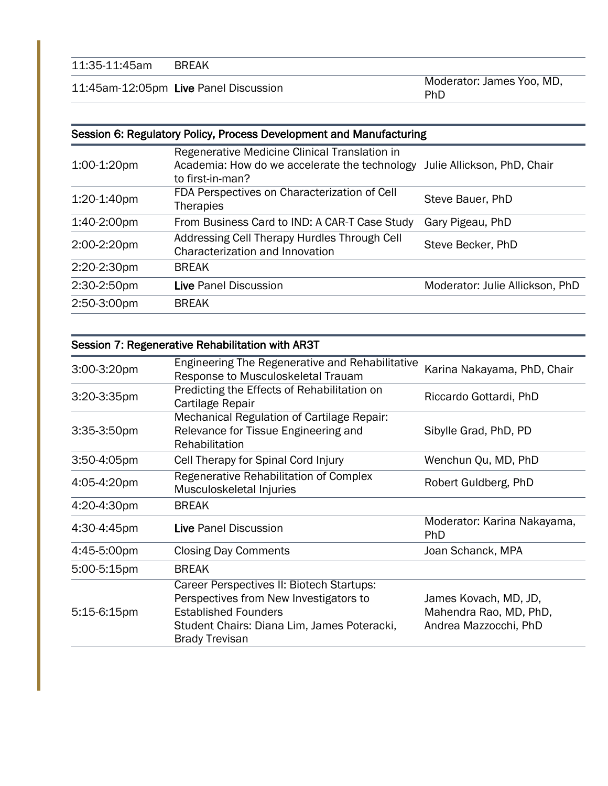11:45am-12:05pm Live Panel Discussion Moderator: James Yoo, MD, PhD

#### Session 6: Regulatory Policy, Process Development and Manufacturing

|                | Regenerative Medicine Clinical Translation in |                                 |
|----------------|-----------------------------------------------|---------------------------------|
| $1:00-1:20$ pm | Academia: How do we accelerate the technology | Julie Allickson, PhD, Chair     |
|                | to first-in-man?                              |                                 |
| 1:20-1:40pm    | FDA Perspectives on Characterization of Cell  | Steve Bauer, PhD                |
|                | <b>Therapies</b>                              |                                 |
| 1:40-2:00pm    | From Business Card to IND: A CAR-T Case Study | Gary Pigeau, PhD                |
| 2:00-2:20pm    | Addressing Cell Therapy Hurdles Through Cell  | Steve Becker, PhD               |
|                | Characterization and Innovation               |                                 |
| 2:20-2:30pm    | <b>BREAK</b>                                  |                                 |
| 2:30-2:50pm    | Live Panel Discussion                         | Moderator: Julie Allickson, PhD |
| 2:50-3:00pm    | <b>BREAK</b>                                  |                                 |
|                |                                               |                                 |

#### Session 7: Regenerative Rehabilitation with AR3T

| 3:00-3:20pm    | <b>Engineering The Regenerative and Rehabilitative</b><br>Response to Musculoskeletal Trauam                                                                                               | Karina Nakayama, PhD, Chair                                              |
|----------------|--------------------------------------------------------------------------------------------------------------------------------------------------------------------------------------------|--------------------------------------------------------------------------|
| 3:20-3:35pm    | Predicting the Effects of Rehabilitation on<br>Cartilage Repair                                                                                                                            | Riccardo Gottardi, PhD                                                   |
| $3:35-3:50$ pm | Mechanical Regulation of Cartilage Repair:<br>Relevance for Tissue Engineering and<br>Rehabilitation                                                                                       | Sibylle Grad, PhD, PD                                                    |
| $3:50-4:05$ pm | Cell Therapy for Spinal Cord Injury                                                                                                                                                        | Wenchun Qu, MD, PhD                                                      |
| 4:05-4:20pm    | Regenerative Rehabilitation of Complex<br>Musculoskeletal Injuries                                                                                                                         | Robert Guldberg, PhD                                                     |
| 4:20-4:30pm    | <b>BREAK</b>                                                                                                                                                                               |                                                                          |
| 4:30-4:45pm    | Live Panel Discussion                                                                                                                                                                      | Moderator: Karina Nakayama,<br>PhD                                       |
| 4:45-5:00pm    | <b>Closing Day Comments</b>                                                                                                                                                                | Joan Schanck, MPA                                                        |
| 5:00-5:15pm    | <b>BREAK</b>                                                                                                                                                                               |                                                                          |
| $5:15-6:15$ pm | Career Perspectives II: Biotech Startups:<br>Perspectives from New Investigators to<br><b>Established Founders</b><br>Student Chairs: Diana Lim, James Poteracki,<br><b>Brady Trevisan</b> | James Kovach, MD, JD,<br>Mahendra Rao, MD, PhD,<br>Andrea Mazzocchi, PhD |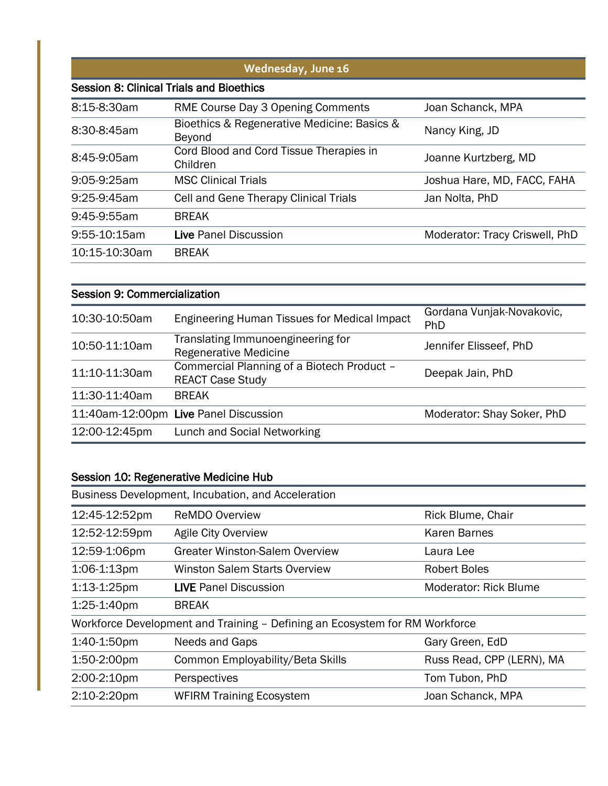|               | Wednesday, June 16                                    |                                |
|---------------|-------------------------------------------------------|--------------------------------|
|               | <b>Session 8: Clinical Trials and Bioethics</b>       |                                |
| 8:15-8:30am   | RME Course Day 3 Opening Comments                     | Joan Schanck, MPA              |
| 8:30-8:45am   | Bioethics & Regenerative Medicine: Basics &<br>Beyond | Nancy King, JD                 |
| 8:45-9:05am   | Cord Blood and Cord Tissue Therapies in<br>Children   | Joanne Kurtzberg, MD           |
| 9:05-9:25am   | <b>MSC Clinical Trials</b>                            | Joshua Hare, MD, FACC, FAHA    |
| $9:25-9:45am$ | Cell and Gene Therapy Clinical Trials                 | Jan Nolta, PhD                 |
| 9:45-9:55am   | <b>BREAK</b>                                          |                                |
| 9:55-10:15am  | Live Panel Discussion                                 | Moderator: Tracy Criswell, PhD |
| 10:15-10:30am | <b>BREAK</b>                                          |                                |

| <b>Session 9: Commercialization</b> |                                                                       |                                  |
|-------------------------------------|-----------------------------------------------------------------------|----------------------------------|
| 10:30-10:50am                       | <b>Engineering Human Tissues for Medical Impact</b>                   | Gordana Vunjak-Novakovic,<br>PhD |
| 10:50-11:10am                       | Translating Immunoengineering for<br><b>Regenerative Medicine</b>     | Jennifer Elisseef, PhD           |
| 11:10-11:30am                       | Commercial Planning of a Biotech Product -<br><b>REACT Case Study</b> | Deepak Jain, PhD                 |
| 11:30-11:40am                       | <b>BREAK</b>                                                          |                                  |
|                                     | 11:40am-12:00pm Live Panel Discussion                                 | Moderator: Shay Soker, PhD       |
| 12:00-12:45pm                       | Lunch and Social Networking                                           |                                  |

### Session 10: Regenerative Medicine Hub

| Business Development, Incubation, and Acceleration |                                                                             |                              |
|----------------------------------------------------|-----------------------------------------------------------------------------|------------------------------|
| 12:45-12:52pm                                      | <b>ReMDO Overview</b>                                                       | Rick Blume, Chair            |
| 12:52-12:59pm                                      | <b>Agile City Overview</b>                                                  | <b>Karen Barnes</b>          |
| 12:59-1:06pm                                       | <b>Greater Winston-Salem Overview</b>                                       | Laura Lee                    |
| 1:06-1:13pm                                        | <b>Winston Salem Starts Overview</b>                                        | <b>Robert Boles</b>          |
| $1:13-1:25$ pm                                     | <b>LIVE Panel Discussion</b>                                                | <b>Moderator: Rick Blume</b> |
| 1:25-1:40pm                                        | <b>BREAK</b>                                                                |                              |
|                                                    | Workforce Development and Training – Defining an Ecosystem for RM Workforce |                              |
| 1:40-1:50pm                                        | Needs and Gaps                                                              | Gary Green, EdD              |
| 1:50-2:00pm                                        | Common Employability/Beta Skills                                            | Russ Read, CPP (LERN), MA    |
| 2:00-2:10pm                                        | Perspectives                                                                | Tom Tubon, PhD               |
| 2:10-2:20pm                                        | <b>WFIRM Training Ecosystem</b>                                             | Joan Schanck, MPA            |